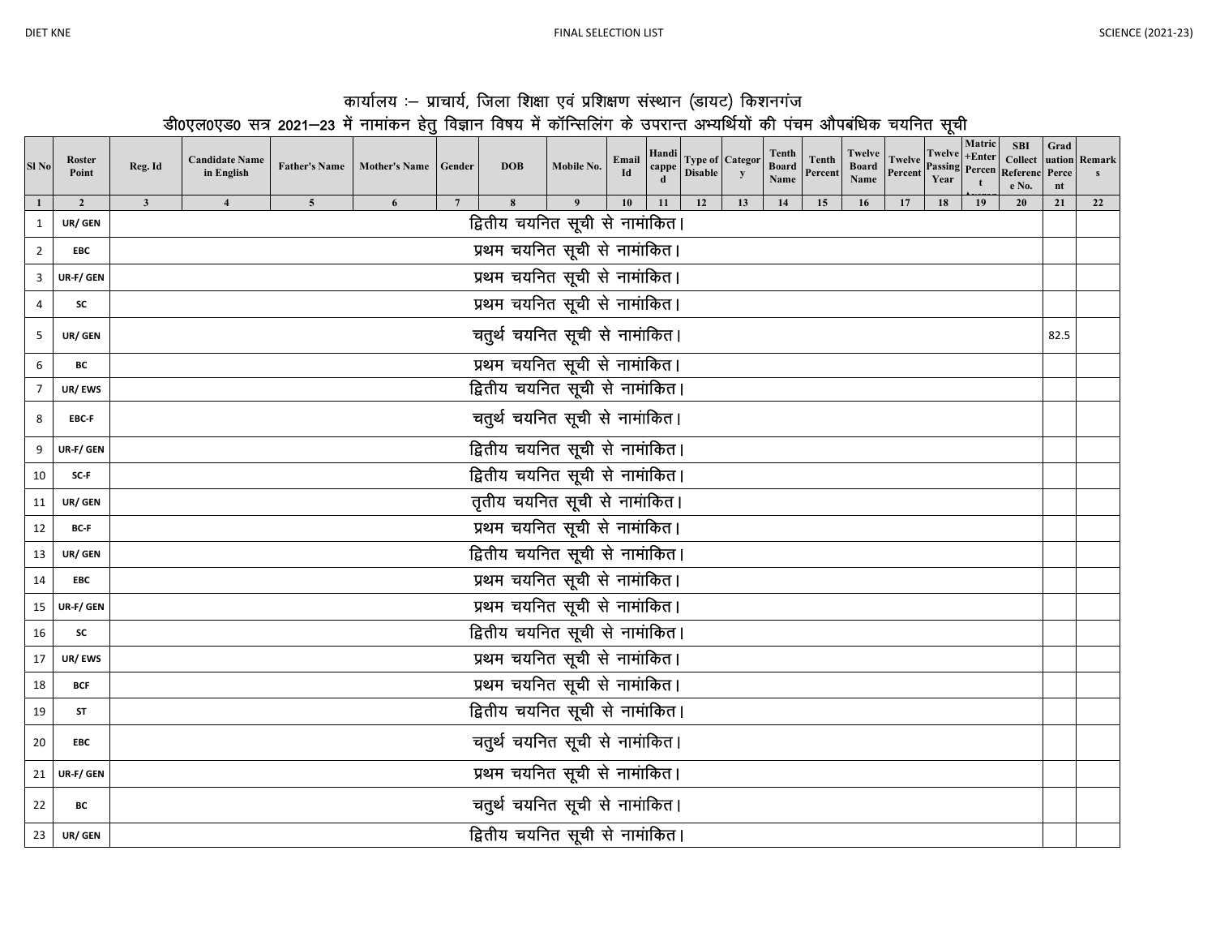|--|--|

## कार्यालय :-- प्राचार्य, जिला शिक्षा एवं प्रशिक्षण संस्थान (डायट) किशनगंज<br><u>डीoएलoएडo सत्र 2021—23 में नामांकन हेतु</u> विज्ञान विषय में कॉन्सिलिंग के उपरान्त अभ्यर्थियों की पंचम औपबंधिक चयनित सूची

| Sl <sub>No</sub> | Roster<br>Point | Reg. Id                         | <b>Candidate Name</b><br>in English |                         | Father's Name   Mother's Name   Gender |                 | <b>DOB</b>                           | Mobile No. | Email<br>Id | Handi<br>cappe | <b>Type of Categor</b><br><b>Disable</b> | y  | Tenth<br><b>Board</b><br>Name | <b>Tenth</b><br>Percent | Twelve<br>Board<br>Name | <b>Twelve</b><br>Percent | <b>Twelve</b><br><b>Passing Percen</b><br>Year | Matric<br>$+Enter$ | <b>SBI</b><br><b>Collect</b><br>Referenc<br>e No. | Grad<br>Perce<br>nt | uation Remark |
|------------------|-----------------|---------------------------------|-------------------------------------|-------------------------|----------------------------------------|-----------------|--------------------------------------|------------|-------------|----------------|------------------------------------------|----|-------------------------------|-------------------------|-------------------------|--------------------------|------------------------------------------------|--------------------|---------------------------------------------------|---------------------|---------------|
|                  | $\overline{2}$  | $\mathbf{3}$                    | $\overline{4}$                      | $\overline{\mathbf{5}}$ | 6                                      | $7\overline{ }$ | 8<br>द्वितीय चयनित सूची से नामांकित। |            | 10          | 11             | 12                                       | 13 | 14                            | 15                      | 16                      |                          | 18                                             | 19                 | 20                                                | 21                  | 22            |
| $\mathbf{1}$     | UR/ GEN         |                                 |                                     |                         |                                        |                 |                                      |            |             |                |                                          |    |                               |                         |                         |                          |                                                |                    |                                                   |                     |               |
| $\overline{2}$   | <b>EBC</b>      |                                 | प्रथम चयनित सूची से नामांकित।       |                         |                                        |                 |                                      |            |             |                |                                          |    |                               |                         |                         |                          |                                                |                    |                                                   |                     |               |
| 3                | UR-F/ GEN       | प्रथम चयनित सूची से नामांकित।   |                                     |                         |                                        |                 |                                      |            |             |                |                                          |    |                               |                         |                         |                          |                                                |                    |                                                   |                     |               |
| 4                | <b>SC</b>       | प्रथम चयनित सूची से नामांकित।   |                                     |                         |                                        |                 |                                      |            |             |                |                                          |    |                               |                         |                         |                          |                                                |                    |                                                   |                     |               |
| 5                | UR/ GEN         | चतुर्थ चयनित सूची से नामांकित।  |                                     |                         |                                        |                 |                                      |            |             |                |                                          |    |                               | 82.5                    |                         |                          |                                                |                    |                                                   |                     |               |
| 6                | BC              | प्रथम चयनित सूची से नामांकित।   |                                     |                         |                                        |                 |                                      |            |             |                |                                          |    |                               |                         |                         |                          |                                                |                    |                                                   |                     |               |
| $\overline{7}$   | UR/EWS          | द्वितीय चयनित सूची से नामांकित। |                                     |                         |                                        |                 |                                      |            |             |                |                                          |    |                               |                         |                         |                          |                                                |                    |                                                   |                     |               |
| 8                | EBC-F           |                                 | चतुर्थ चयनित सूची से नामांकित।      |                         |                                        |                 |                                      |            |             |                |                                          |    |                               |                         |                         |                          |                                                |                    |                                                   |                     |               |
| 9                | UR-F/ GEN       |                                 | द्वितीय चयनित सूची से नामांकित।     |                         |                                        |                 |                                      |            |             |                |                                          |    |                               |                         |                         |                          |                                                |                    |                                                   |                     |               |
| 10               | SC-F            | द्वितीय चयनित सूची से नामांकित। |                                     |                         |                                        |                 |                                      |            |             |                |                                          |    |                               |                         |                         |                          |                                                |                    |                                                   |                     |               |
| 11               | UR/ GEN         | तृतीय चयनित सूची से नामांकित।   |                                     |                         |                                        |                 |                                      |            |             |                |                                          |    |                               |                         |                         |                          |                                                |                    |                                                   |                     |               |
| 12               | BC-F            |                                 |                                     |                         |                                        |                 | प्रथम चयनित सूची से नामांकित।        |            |             |                |                                          |    |                               |                         |                         |                          |                                                |                    |                                                   |                     |               |
| 13               | UR/ GEN         |                                 |                                     |                         |                                        |                 | द्वितीय चयनित सूची से नामांकित।      |            |             |                |                                          |    |                               |                         |                         |                          |                                                |                    |                                                   |                     |               |
| 14               | <b>EBC</b>      |                                 |                                     |                         |                                        |                 | प्रथम चयनित सूची से नामांकित।        |            |             |                |                                          |    |                               |                         |                         |                          |                                                |                    |                                                   |                     |               |
| 15               | UR-F/ GEN       |                                 |                                     |                         |                                        |                 | प्रथम चयनित सूची से नामांकित।        |            |             |                |                                          |    |                               |                         |                         |                          |                                                |                    |                                                   |                     |               |
| 16               | <b>SC</b>       |                                 |                                     |                         |                                        |                 | द्वितीय चयनित सूची से नामांकित।      |            |             |                |                                          |    |                               |                         |                         |                          |                                                |                    |                                                   |                     |               |
| 17               | UR/EWS          |                                 |                                     |                         |                                        |                 | प्रथम चयनित सूची से नामांकित।        |            |             |                |                                          |    |                               |                         |                         |                          |                                                |                    |                                                   |                     |               |
| 18               | <b>BCF</b>      |                                 |                                     |                         |                                        |                 | प्रथम चयनित सूची से नामांकित।        |            |             |                |                                          |    |                               |                         |                         |                          |                                                |                    |                                                   |                     |               |
| 19               | ST              |                                 |                                     |                         |                                        |                 | द्वितीय चयनित सूची से नामांकित।      |            |             |                |                                          |    |                               |                         |                         |                          |                                                |                    |                                                   |                     |               |
| 20               | <b>EBC</b>      |                                 |                                     |                         |                                        |                 | चतुर्थ चयनित सूची से नामांकित।       |            |             |                |                                          |    |                               |                         |                         |                          |                                                |                    |                                                   |                     |               |
|                  | 21 UR-F/ GEN    |                                 |                                     |                         |                                        |                 | प्रथम चयनित सूची से नामांकित।        |            |             |                |                                          |    |                               |                         |                         |                          |                                                |                    |                                                   |                     |               |
| 22               | ВC              | चतुर्थ चयनित सूची से नामांकित।  |                                     |                         |                                        |                 |                                      |            |             |                |                                          |    |                               |                         |                         |                          |                                                |                    |                                                   |                     |               |
| 23               | UR/ GEN         |                                 |                                     |                         |                                        |                 | द्वितीय चयनित सूची से नामांकित।      |            |             |                |                                          |    |                               |                         |                         |                          |                                                |                    |                                                   |                     |               |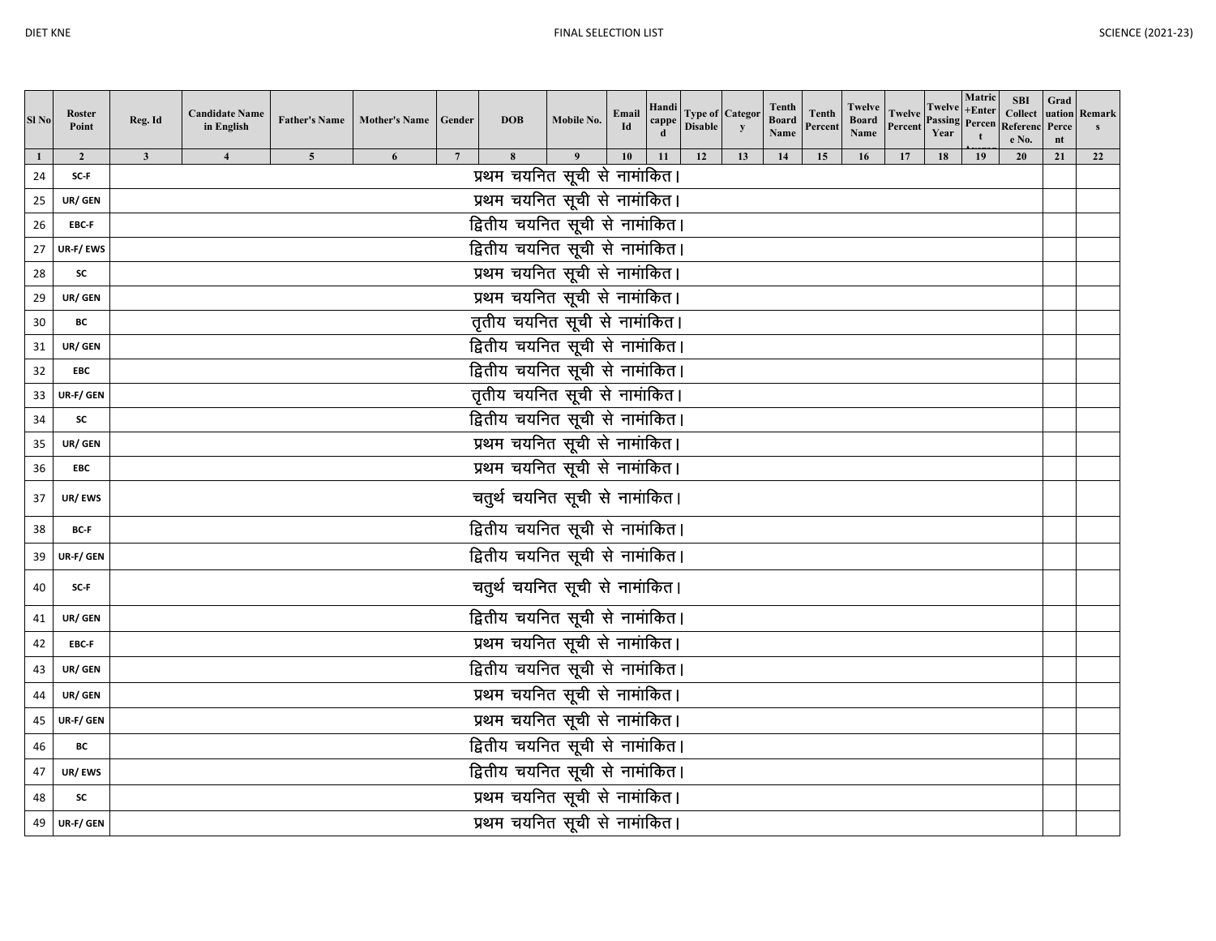| Sl <sub>No</sub> | <b>Roster</b><br>Point | Reg. Id                                                          | <b>Candidate Name</b><br>in English |                | <b>Father's Name Mother's Name</b> | Gender          | <b>DOB</b>                         | Mobile No. | Email<br>Id | Handi<br>сарре | <b>Type of Categor</b><br><b>Disable</b> | y  | Tenth<br><b>Board</b><br>Name | <b>Tenth</b><br>Percent | Twelve<br><b>Board</b><br>Name | Twelve<br>Percent | Year | Matric<br>Twelve +Enter<br>Passing Percen | <b>SBI</b><br><b>Collect</b><br>Referenc<br>e No. | Grad<br>Perce<br>nt | uation Remark |
|------------------|------------------------|------------------------------------------------------------------|-------------------------------------|----------------|------------------------------------|-----------------|------------------------------------|------------|-------------|----------------|------------------------------------------|----|-------------------------------|-------------------------|--------------------------------|-------------------|------|-------------------------------------------|---------------------------------------------------|---------------------|---------------|
| 1                | $\overline{2}$         | $\overline{\mathbf{3}}$                                          |                                     | $\overline{5}$ | 6                                  | $7\phantom{.0}$ | 8<br>प्रथम चयनित सूची से नामांकित। |            | 10          | 11             | 12                                       | 13 | 14                            | 15                      | 16                             | 17                | 18   | 19                                        | 20                                                | 21                  | 22            |
| 24               | SC-F                   |                                                                  |                                     |                |                                    |                 |                                    |            |             |                |                                          |    |                               |                         |                                |                   |      |                                           |                                                   |                     |               |
| 25               | UR/ GEN                | प्रथम चयनित सूची से नामांकित।<br>द्वितीय चयनित सूची से नामांकित। |                                     |                |                                    |                 |                                    |            |             |                |                                          |    |                               |                         |                                |                   |      |                                           |                                                   |                     |               |
| 26               | EBC-F                  |                                                                  | द्वितीय चयनित सूची से नामांकित।     |                |                                    |                 |                                    |            |             |                |                                          |    |                               |                         |                                |                   |      |                                           |                                                   |                     |               |
| 27               | UR-F/EWS               | प्रथम चयनित सूची से नामांकित।                                    |                                     |                |                                    |                 |                                    |            |             |                |                                          |    |                               |                         |                                |                   |      |                                           |                                                   |                     |               |
| 28               | SC                     | प्रथम चयनित सूची से नामांकित।                                    |                                     |                |                                    |                 |                                    |            |             |                |                                          |    |                               |                         |                                |                   |      |                                           |                                                   |                     |               |
| 29               | UR/ GEN<br>ВC          | तृतीय चयनित सूची से नामांकित।                                    |                                     |                |                                    |                 |                                    |            |             |                |                                          |    |                               |                         |                                |                   |      |                                           |                                                   |                     |               |
| 30<br>31         | UR/ GEN                | द्वितीय चयनित सूची से नामांकित।                                  |                                     |                |                                    |                 |                                    |            |             |                |                                          |    |                               |                         |                                |                   |      |                                           |                                                   |                     |               |
| 32               | <b>EBC</b>             |                                                                  |                                     |                |                                    |                 | द्वितीय चयनित सूची से नामांकित।    |            |             |                |                                          |    |                               |                         |                                |                   |      |                                           |                                                   |                     |               |
| 33               | UR-F/ GEN              |                                                                  |                                     |                |                                    |                 |                                    |            |             |                |                                          |    |                               |                         |                                |                   |      |                                           |                                                   |                     |               |
| 34               | SC                     | तृतीय चयनित सूची से नामांकित।<br>द्वितीय चयनित सूची से नामांकित। |                                     |                |                                    |                 |                                    |            |             |                |                                          |    |                               |                         |                                |                   |      |                                           |                                                   |                     |               |
| 35               | UR/ GEN                | प्रथम चयनित सूची से नामांकित।                                    |                                     |                |                                    |                 |                                    |            |             |                |                                          |    |                               |                         |                                |                   |      |                                           |                                                   |                     |               |
| 36               | EBC                    | प्रथम चयनित सूची से नामांकित।                                    |                                     |                |                                    |                 |                                    |            |             |                |                                          |    |                               |                         |                                |                   |      |                                           |                                                   |                     |               |
| 37               | UR/EWS                 | चतुर्थ चयनित सूची से नामांकित।                                   |                                     |                |                                    |                 |                                    |            |             |                |                                          |    |                               |                         |                                |                   |      |                                           |                                                   |                     |               |
|                  |                        |                                                                  |                                     |                |                                    |                 |                                    |            |             |                |                                          |    |                               |                         |                                |                   |      |                                           |                                                   |                     |               |
| 38               | BC-F                   |                                                                  |                                     |                |                                    |                 | द्वितीय चयनित सूची से नामांकित।    |            |             |                |                                          |    |                               |                         |                                |                   |      |                                           |                                                   |                     |               |
| 39               | UR-F/ GEN              |                                                                  |                                     |                |                                    |                 | द्वितीय चयनित सूची से नामांकित।    |            |             |                |                                          |    |                               |                         |                                |                   |      |                                           |                                                   |                     |               |
| 40               | SC-F                   |                                                                  |                                     |                |                                    |                 | चतुर्थ चयनित सूची से नामांकित।     |            |             |                |                                          |    |                               |                         |                                |                   |      |                                           |                                                   |                     |               |
| 41               | UR/ GEN                |                                                                  |                                     |                |                                    |                 | द्वितीय चयनित सूची से नामांकित।    |            |             |                |                                          |    |                               |                         |                                |                   |      |                                           |                                                   |                     |               |
| 42               | EBC-F                  |                                                                  |                                     |                |                                    |                 | प्रथम चयनित सूची से नामांकित।      |            |             |                |                                          |    |                               |                         |                                |                   |      |                                           |                                                   |                     |               |
| 43               | UR/ GEN                |                                                                  |                                     |                |                                    |                 | द्वितीय चयनित सूची से नामांकित।    |            |             |                |                                          |    |                               |                         |                                |                   |      |                                           |                                                   |                     |               |
| 44               | UR/ GEN                |                                                                  |                                     |                |                                    |                 | प्रथम चयनित सूची से नामांकित।      |            |             |                |                                          |    |                               |                         |                                |                   |      |                                           |                                                   |                     |               |
| 45               | UR-F/ GEN              |                                                                  |                                     |                |                                    |                 | प्रथम चयनित सूची से नामांकित।      |            |             |                |                                          |    |                               |                         |                                |                   |      |                                           |                                                   |                     |               |
| 46               | ВC                     |                                                                  |                                     |                |                                    |                 | द्वितीय चयनित सूची से नामांकित।    |            |             |                |                                          |    |                               |                         |                                |                   |      |                                           |                                                   |                     |               |
| 47               | UR/EWS                 | द्वितीय चयनित सूची से नामांकित।                                  |                                     |                |                                    |                 |                                    |            |             |                |                                          |    |                               |                         |                                |                   |      |                                           |                                                   |                     |               |
| 48               | SC                     | प्रथम चयनित सूची से नामांकित।                                    |                                     |                |                                    |                 |                                    |            |             |                |                                          |    |                               |                         |                                |                   |      |                                           |                                                   |                     |               |
| 49               | UR-F/ GEN              |                                                                  |                                     |                |                                    |                 | प्रथम चयनित सूची से नामांकित।      |            |             |                |                                          |    |                               |                         |                                |                   |      |                                           |                                                   |                     |               |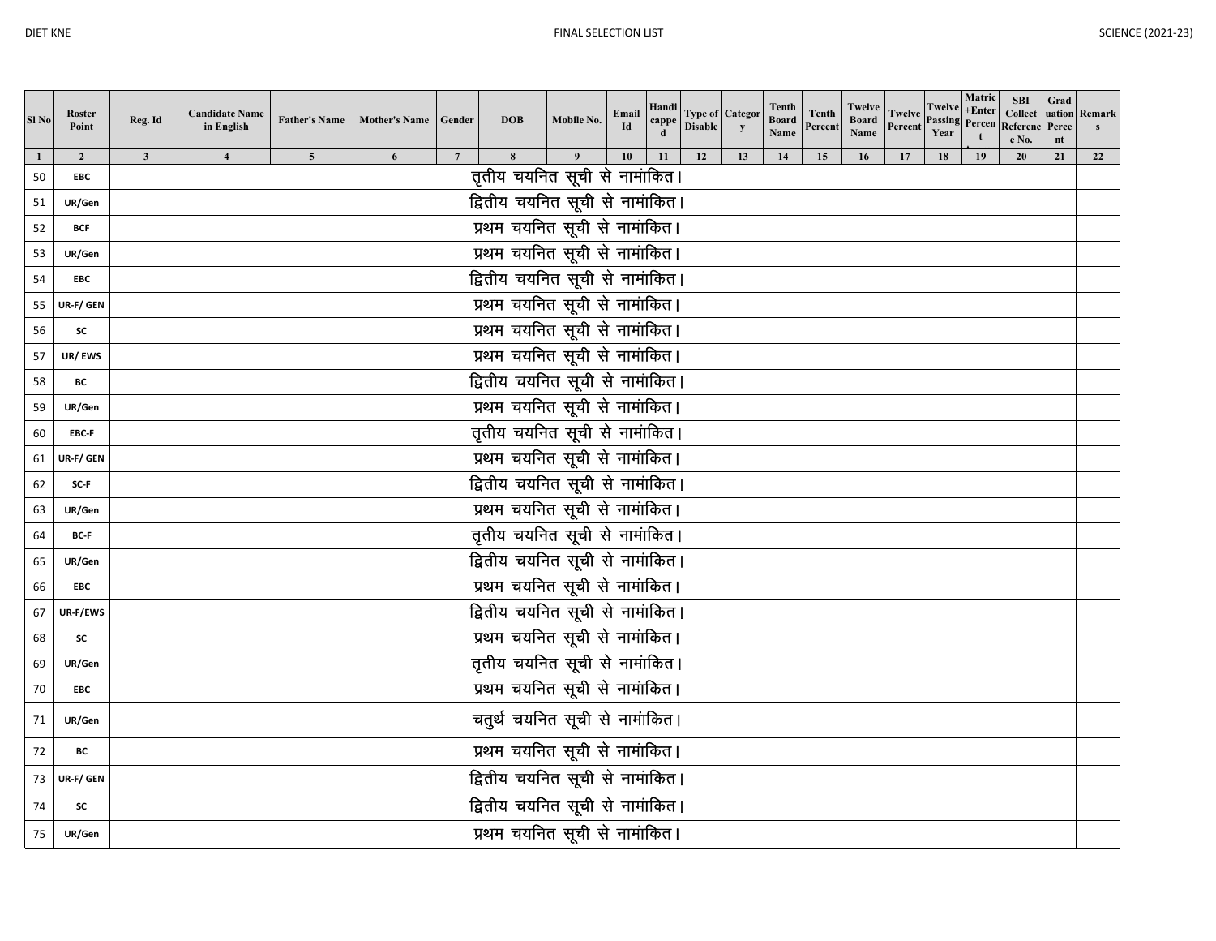| Sl <sub>No</sub> | Roster<br>Point              | Reg. Id                                                          | <b>Candidate Name</b><br>in English |                | <b>Father's Name Mother's Name</b> | Gender          | <b>DOB</b>                      | Mobile No. | Email<br>Id | Handi<br>cappe | <b>Type of   Categor</b><br><b>Disable</b> | y  | Tenth<br><b>Board</b><br>Name | <b>Tenth</b><br>Percent | Twelve<br><b>Board</b><br><b>Name</b> | <b>Twelve</b><br>Percent | Twelve<br><b>Passing</b><br>Year | Matric<br>$+Enter$<br>Percen<br>t | <b>SBI</b><br><b>Collect</b><br>Referend<br>e No. | Grad<br>uation<br>Perce<br>nt | Remark |
|------------------|------------------------------|------------------------------------------------------------------|-------------------------------------|----------------|------------------------------------|-----------------|---------------------------------|------------|-------------|----------------|--------------------------------------------|----|-------------------------------|-------------------------|---------------------------------------|--------------------------|----------------------------------|-----------------------------------|---------------------------------------------------|-------------------------------|--------|
| 50               | $\overline{2}$<br><b>EBC</b> | $\mathbf{3}$                                                     | $\overline{\mathbf{4}}$             | $\overline{5}$ | 6                                  | $7\phantom{.0}$ | 8                               | 9          | 10          | 11             | 12                                         | 13 | 14                            | 15                      | 16                                    | 17                       | 18                               | 19                                | 20                                                | 21                            | 22     |
| 51               | UR/Gen                       | तृतीय चयनित सूची से नामांकित।<br>द्वितीय चयनित सूची से नामांकित। |                                     |                |                                    |                 |                                 |            |             |                |                                            |    |                               |                         |                                       |                          |                                  |                                   |                                                   |                               |        |
| 52               | <b>BCF</b>                   | प्रथम चयनित सूची से नामांकित।                                    |                                     |                |                                    |                 |                                 |            |             |                |                                            |    |                               |                         |                                       |                          |                                  |                                   |                                                   |                               |        |
| 53               | UR/Gen                       | प्रथम चयनित सूची से नामांकित।                                    |                                     |                |                                    |                 |                                 |            |             |                |                                            |    |                               |                         |                                       |                          |                                  |                                   |                                                   |                               |        |
| 54               | <b>EBC</b>                   | द्वितीय चयनित सूची से नामांकित।                                  |                                     |                |                                    |                 |                                 |            |             |                |                                            |    |                               |                         |                                       |                          |                                  |                                   |                                                   |                               |        |
| 55               | UR-F/ GEN                    | प्रथम चयनित सूची से नामांकित।                                    |                                     |                |                                    |                 |                                 |            |             |                |                                            |    |                               |                         |                                       |                          |                                  |                                   |                                                   |                               |        |
| 56               | <b>SC</b>                    | प्रथम चयनित सूची से नामांकित।                                    |                                     |                |                                    |                 |                                 |            |             |                |                                            |    |                               |                         |                                       |                          |                                  |                                   |                                                   |                               |        |
| 57               | UR/EWS                       | प्रथम चयनित सूची से नामांकित।                                    |                                     |                |                                    |                 |                                 |            |             |                |                                            |    |                               |                         |                                       |                          |                                  |                                   |                                                   |                               |        |
| 58               | ВC                           |                                                                  |                                     |                |                                    |                 | द्वितीय चयनित सूची से नामांकित। |            |             |                |                                            |    |                               |                         |                                       |                          |                                  |                                   |                                                   |                               |        |
| 59               | UR/Gen                       |                                                                  |                                     |                |                                    |                 |                                 |            |             |                |                                            |    |                               |                         |                                       |                          |                                  |                                   |                                                   |                               |        |
| 60               | EBC-F                        | प्रथम चयनित सूची से नामांकित।<br>तृतीय चयनित सूची से नामांकित।   |                                     |                |                                    |                 |                                 |            |             |                |                                            |    |                               |                         |                                       |                          |                                  |                                   |                                                   |                               |        |
| 61               | UR-F/ GEN                    | प्रथम चयनित सूची से नामांकित।                                    |                                     |                |                                    |                 |                                 |            |             |                |                                            |    |                               |                         |                                       |                          |                                  |                                   |                                                   |                               |        |
| 62               | SC-F                         | द्वितीय चयनित सूची से नामांकित।                                  |                                     |                |                                    |                 |                                 |            |             |                |                                            |    |                               |                         |                                       |                          |                                  |                                   |                                                   |                               |        |
| 63               | UR/Gen                       |                                                                  |                                     |                |                                    |                 | प्रथम चयनित सूची से नामांकित।   |            |             |                |                                            |    |                               |                         |                                       |                          |                                  |                                   |                                                   |                               |        |
| 64               | BC-F                         |                                                                  |                                     |                |                                    |                 | तृतीय चयनित सूची से नामांकित।   |            |             |                |                                            |    |                               |                         |                                       |                          |                                  |                                   |                                                   |                               |        |
| 65               | UR/Gen                       |                                                                  |                                     |                |                                    |                 | द्वितीय चयनित सूची से नामांकित। |            |             |                |                                            |    |                               |                         |                                       |                          |                                  |                                   |                                                   |                               |        |
| 66               | <b>EBC</b>                   |                                                                  |                                     |                |                                    |                 | प्रथम चयनित सूची से नामांकित।   |            |             |                |                                            |    |                               |                         |                                       |                          |                                  |                                   |                                                   |                               |        |
| 67               | UR-F/EWS                     |                                                                  |                                     |                |                                    |                 | द्वितीय चयनित सूची से नामांकित। |            |             |                |                                            |    |                               |                         |                                       |                          |                                  |                                   |                                                   |                               |        |
| 68               | SC                           |                                                                  |                                     |                |                                    |                 | प्रथम चयनित सूची से नामांकित।   |            |             |                |                                            |    |                               |                         |                                       |                          |                                  |                                   |                                                   |                               |        |
| 69               | UR/Gen                       |                                                                  |                                     |                |                                    |                 | तृतीय चयनित सूची से नामांकित।   |            |             |                |                                            |    |                               |                         |                                       |                          |                                  |                                   |                                                   |                               |        |
| 70               | <b>EBC</b>                   |                                                                  |                                     |                |                                    |                 | प्रथम चयनित सूची से नामांकित।   |            |             |                |                                            |    |                               |                         |                                       |                          |                                  |                                   |                                                   |                               |        |
| 71               | UR/Gen                       |                                                                  |                                     |                |                                    |                 | चतुर्थ चयनित सूची से नामांकित।  |            |             |                |                                            |    |                               |                         |                                       |                          |                                  |                                   |                                                   |                               |        |
| 72               | BC                           |                                                                  |                                     |                |                                    |                 | प्रथम चयनित सूची से नामांकित।   |            |             |                |                                            |    |                               |                         |                                       |                          |                                  |                                   |                                                   |                               |        |
| 73               | UR-F/ GEN                    | द्वितीय चयनित सूची से नामांकित।                                  |                                     |                |                                    |                 |                                 |            |             |                |                                            |    |                               |                         |                                       |                          |                                  |                                   |                                                   |                               |        |
| 74               | SC                           | द्वितीय चयनित सूची से नामांकित।                                  |                                     |                |                                    |                 |                                 |            |             |                |                                            |    |                               |                         |                                       |                          |                                  |                                   |                                                   |                               |        |
| 75               | UR/Gen                       |                                                                  |                                     |                |                                    |                 | प्रथम चयनित सूची से नामांकित।   |            |             |                |                                            |    |                               |                         |                                       |                          |                                  |                                   |                                                   |                               |        |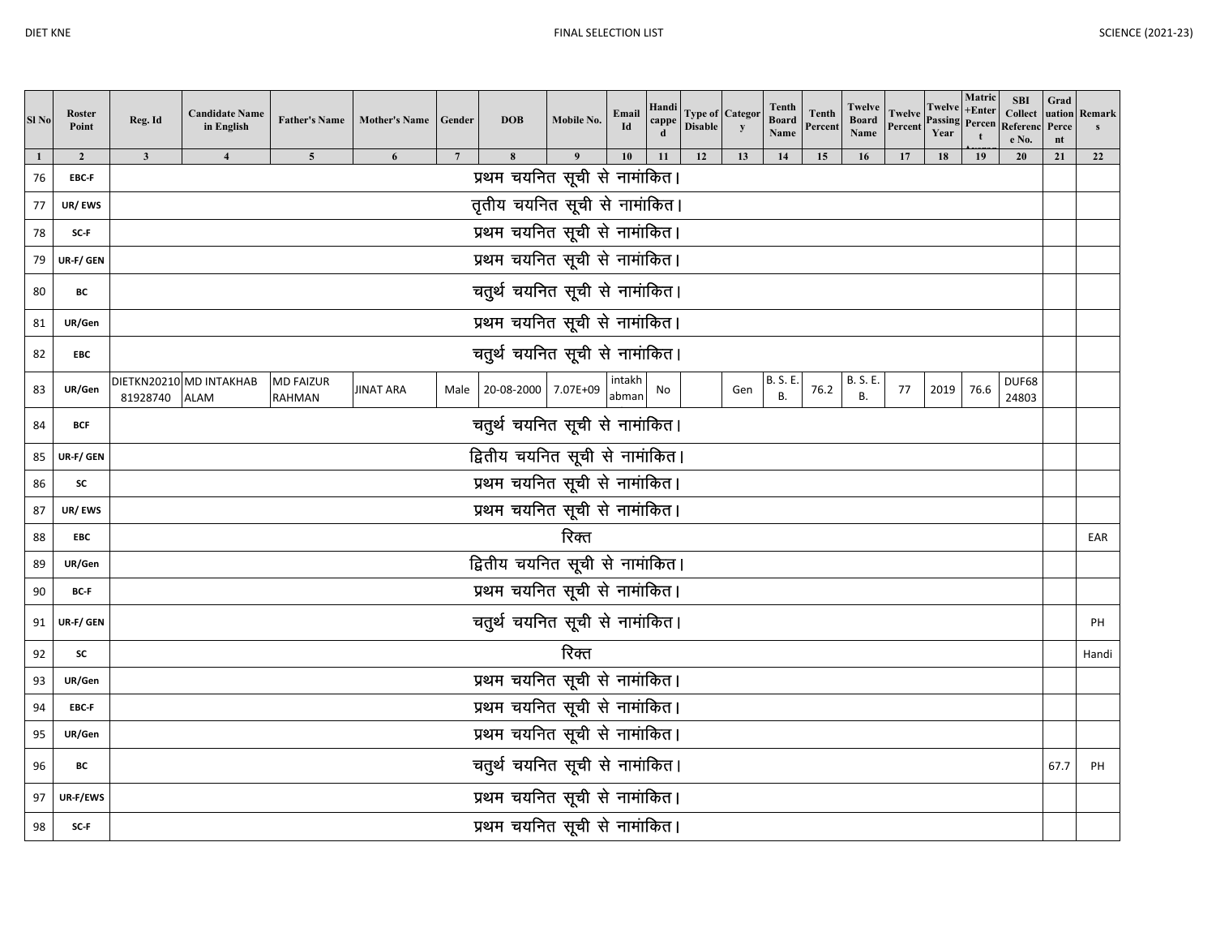| Sl <sub>No</sub> | Roster<br>Point         | Reg. Id                         | <b>Candidate Name</b><br>in English    | <b>Father's Name</b>              | <b>Mother's Name</b> | Gender         | <b>DOB</b>                                | Mobile No. | Email<br>Id     | Handi<br>cappe | <b>Disable</b> | <b>Type of Categor</b><br>$\mathbf{y}$ | Tenth<br><b>Board</b><br>Name | Tenth<br>Percent | Twelve<br><b>Board</b><br>Name | <b>Twelve</b><br>Percent | Twelve +Enter<br><b>Passing</b> Percen<br>Year | Matric | <b>SBI</b><br><b>Collect</b><br>Referenc<br>e No. | Grad<br>Perce<br>nt | uation Remark<br>S |
|------------------|-------------------------|---------------------------------|----------------------------------------|-----------------------------------|----------------------|----------------|-------------------------------------------|------------|-----------------|----------------|----------------|----------------------------------------|-------------------------------|------------------|--------------------------------|--------------------------|------------------------------------------------|--------|---------------------------------------------------|---------------------|--------------------|
| 76               | $\overline{2}$<br>EBC-F | $\mathbf{3}$                    | $\overline{\mathbf{4}}$                | $\overline{\mathbf{5}}$           | 6                    | $\overline{7}$ | $\bf{8}$<br>प्रथम चयनित सूची से नामांकित। |            | 10              | 11             | 12             | 13                                     | 14                            | 15               | 16                             |                          | 18                                             | 19     | 20                                                | 21                  | 22                 |
| 77               | UR/EWS                  |                                 |                                        |                                   |                      |                | तृतीय चयनित सूची से नामांकित।             |            |                 |                |                |                                        |                               |                  |                                |                          |                                                |        |                                                   |                     |                    |
| 78               | SC-F                    |                                 |                                        |                                   |                      |                | प्रथम चयनित सूची से नामांकित।             |            |                 |                |                |                                        |                               |                  |                                |                          |                                                |        |                                                   |                     |                    |
| 79               | UR-F/ GEN               | प्रथम चयनित सूची से नामांकित।   |                                        |                                   |                      |                |                                           |            |                 |                |                |                                        |                               |                  |                                |                          |                                                |        |                                                   |                     |                    |
|                  |                         | चतुर्थ चयनित सूची से नामांकित।  |                                        |                                   |                      |                |                                           |            |                 |                |                |                                        |                               |                  |                                |                          |                                                |        |                                                   |                     |                    |
| 80               | BС                      |                                 |                                        |                                   |                      |                |                                           |            |                 |                |                |                                        |                               |                  |                                |                          |                                                |        |                                                   |                     |                    |
| 81               | UR/Gen                  | प्रथम चयनित सूची से नामांकित।   |                                        |                                   |                      |                |                                           |            |                 |                |                |                                        |                               |                  |                                |                          |                                                |        |                                                   |                     |                    |
| 82               | EBC                     | चतुर्थ चयनित सूची से नामांकित।  |                                        |                                   |                      |                |                                           |            |                 |                |                |                                        |                               |                  |                                |                          |                                                |        |                                                   |                     |                    |
| 83               | UR/Gen                  | 81928740                        | DIETKN20210 MD INTAKHAB<br><b>ALAM</b> | <b>MD FAIZUR</b><br><b>RAHMAN</b> | JINAT ARA            |                | Male 20-08-2000 7.07E+09                  |            | intakh<br>abman | No             |                | Gen                                    | <b>B.S.E.</b><br><b>B.</b>    | 76.2             | <b>B. S. E.</b><br><b>B.</b>   | 77                       | 2019                                           | 76.6   | DUF68<br>24803                                    |                     |                    |
| 84               | <b>BCF</b>              | चतुर्थ चयनित सूची से नामांकित।  |                                        |                                   |                      |                |                                           |            |                 |                |                |                                        |                               |                  |                                |                          |                                                |        |                                                   |                     |                    |
| 85               | UR-F/ GEN               | द्वितीय चयनित सूची से नामांकित। |                                        |                                   |                      |                |                                           |            |                 |                |                |                                        |                               |                  |                                |                          |                                                |        |                                                   |                     |                    |
| 86               | SC                      | प्रथम चयनित सूची से नामांकित।   |                                        |                                   |                      |                |                                           |            |                 |                |                |                                        |                               |                  |                                |                          |                                                |        |                                                   |                     |                    |
| 87               | UR/EWS                  |                                 |                                        |                                   |                      |                | प्रथम चयनित सूची से नामांकित।             |            |                 |                |                |                                        |                               |                  |                                |                          |                                                |        |                                                   |                     |                    |
| 88               | <b>EBC</b>              |                                 |                                        |                                   |                      |                |                                           | रिक्त      |                 |                |                |                                        |                               |                  |                                |                          |                                                |        |                                                   |                     | EAR                |
| 89               | UR/Gen                  |                                 |                                        |                                   |                      |                | द्वितीय चयनित सूची से नामांकित।           |            |                 |                |                |                                        |                               |                  |                                |                          |                                                |        |                                                   |                     |                    |
| 90               | BC-F                    |                                 |                                        |                                   |                      |                | प्रथम चयनित सूची से नामांकित।             |            |                 |                |                |                                        |                               |                  |                                |                          |                                                |        |                                                   |                     |                    |
| 91               | UR-F/ GEN               |                                 |                                        |                                   |                      |                | चतुर्थ चयनित सूची से नामांकित।            |            |                 |                |                |                                        |                               |                  |                                |                          |                                                |        |                                                   |                     | PH                 |
| 92               | SC                      |                                 |                                        |                                   |                      |                |                                           | रिक्त      |                 |                |                |                                        |                               |                  |                                |                          |                                                |        |                                                   |                     | Handi              |
| 93               | UR/Gen                  |                                 |                                        |                                   |                      |                | प्रथम चयनित सूची से नामांकित।             |            |                 |                |                |                                        |                               |                  |                                |                          |                                                |        |                                                   |                     |                    |
| 94               | EBC-F                   |                                 |                                        |                                   |                      |                | प्रथम चयनित सूची से नामांकित।             |            |                 |                |                |                                        |                               |                  |                                |                          |                                                |        |                                                   |                     |                    |
| 95               | UR/Gen                  |                                 |                                        |                                   |                      |                | प्रथम चयनित सूची से नामांकित।             |            |                 |                |                |                                        |                               |                  |                                |                          |                                                |        |                                                   |                     |                    |
| 96               | BС                      | चतुर्थ चयनित सूची से नामांकित।  |                                        |                                   |                      |                |                                           |            |                 |                |                |                                        |                               | 67.7             | PH                             |                          |                                                |        |                                                   |                     |                    |
| 97               | UR-F/EWS                | प्रथम चयनित सूची से नामांकित।   |                                        |                                   |                      |                |                                           |            |                 |                |                |                                        |                               |                  |                                |                          |                                                |        |                                                   |                     |                    |
| 98               | SC-F                    | प्रथम चयनित सूची से नामांकित।   |                                        |                                   |                      |                |                                           |            |                 |                |                |                                        |                               |                  |                                |                          |                                                |        |                                                   |                     |                    |